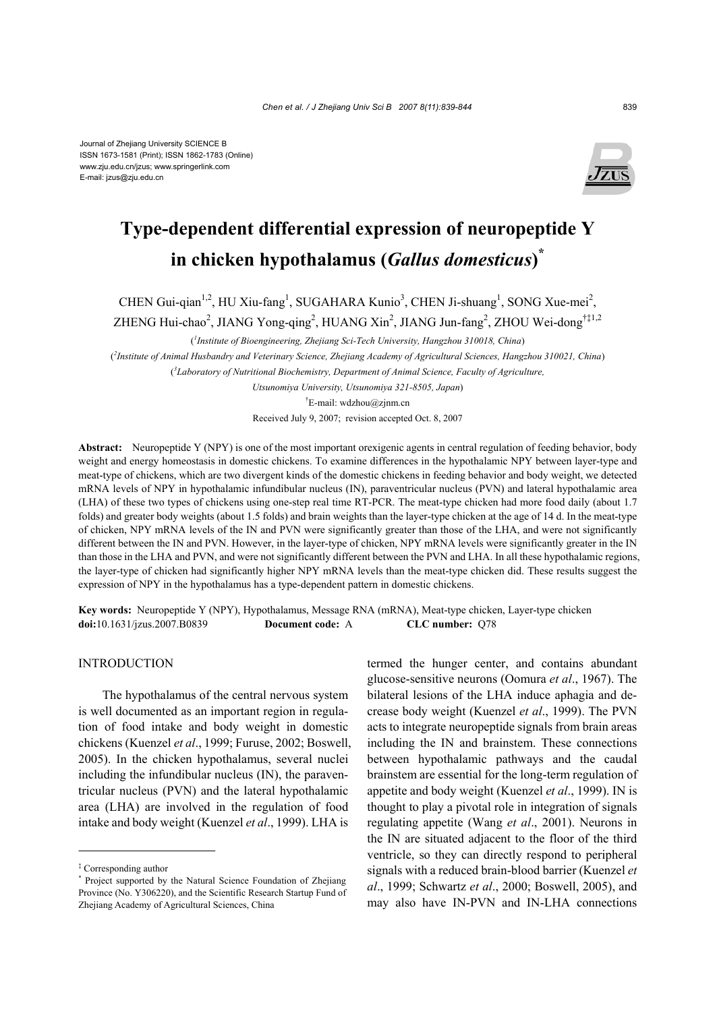

# **Type-dependent differential expression of neuropeptide Y in chicken hypothalamus (***Gallus domesticus***) \***

CHEN Gui-qian<sup>1,2</sup>, HU Xiu-fang<sup>1</sup>, SUGAHARA Kunio<sup>3</sup>, CHEN Ji-shuang<sup>1</sup>, SONG Xue-mei<sup>2</sup>,

ZHENG Hui-chao<sup>2</sup>, JIANG Yong-qing<sup>2</sup>, HUANG Xin<sup>2</sup>, JIANG Jun-fang<sup>2</sup>, ZHOU Wei-dong<sup>†‡1,2</sup>

( *1 Institute of Bioengineering, Zhejiang Sci-Tech University, Hangzhou 310018, China*)

( *2 Institute of Animal Husbandry and Veterinary Science, Zhejiang Academy of Agricultural Sciences, Hangzhou 310021, China*) ( *3 Laboratory of Nutritional Biochemistry, Department of Animal Science, Faculty of Agriculture,* 

> *Utsunomiya University, Utsunomiya 321-8505, Japan*) † E-mail: wdzhou@zjnm.cn

Received July 9, 2007; revision accepted Oct. 8, 2007

**Abstract:** Neuropeptide Y (NPY) is one of the most important orexigenic agents in central regulation of feeding behavior, body weight and energy homeostasis in domestic chickens. To examine differences in the hypothalamic NPY between layer-type and meat-type of chickens, which are two divergent kinds of the domestic chickens in feeding behavior and body weight, we detected mRNA levels of NPY in hypothalamic infundibular nucleus (IN), paraventricular nucleus (PVN) and lateral hypothalamic area (LHA) of these two types of chickens using one-step real time RT-PCR. The meat-type chicken had more food daily (about 1.7 folds) and greater body weights (about 1.5 folds) and brain weights than the layer-type chicken at the age of 14 d. In the meat-type of chicken, NPY mRNA levels of the IN and PVN were significantly greater than those of the LHA, and were not significantly different between the IN and PVN. However, in the layer-type of chicken, NPY mRNA levels were significantly greater in the IN than those in the LHA and PVN, and were not significantly different between the PVN and LHA. In all these hypothalamic regions, the layer-type of chicken had significantly higher NPY mRNA levels than the meat-type chicken did. These results suggest the expression of NPY in the hypothalamus has a type-dependent pattern in domestic chickens.

**Key words:** Neuropeptide Y (NPY), Hypothalamus, Message RNA (mRNA), Meat-type chicken, Layer-type chicken **doi:**10.1631/jzus.2007.B0839 **Document code:** A **CLC number:** Q78

# **INTRODUCTION**

The hypothalamus of the central nervous system is well documented as an important region in regulation of food intake and body weight in domestic chickens (Kuenzel *et al*., 1999; Furuse, 2002; Boswell, 2005). In the chicken hypothalamus, several nuclei including the infundibular nucleus (IN), the paraventricular nucleus (PVN) and the lateral hypothalamic area (LHA) are involved in the regulation of food intake and body weight (Kuenzel *et al*., 1999). LHA is

termed the hunger center, and contains abundant glucose-sensitive neurons (Oomura *et al*., 1967). The bilateral lesions of the LHA induce aphagia and decrease body weight (Kuenzel *et al*., 1999). The PVN acts to integrate neuropeptide signals from brain areas including the IN and brainstem. These connections between hypothalamic pathways and the caudal brainstem are essential for the long-term regulation of appetite and body weight (Kuenzel *et al*., 1999). IN is thought to play a pivotal role in integration of signals regulating appetite (Wang *et al*., 2001). Neurons in the IN are situated adjacent to the floor of the third ventricle, so they can directly respond to peripheral signals with a reduced brain-blood barrier (Kuenzel *et al*., 1999; Schwartz *et al*., 2000; Boswell, 2005), and may also have IN-PVN and IN-LHA connections

<sup>‡</sup> Corresponding author

<sup>\*</sup> Project supported by the Natural Science Foundation of Zhejiang Province (No. Y306220), and the Scientific Research Startup Fund of Zhejiang Academy of Agricultural Sciences, China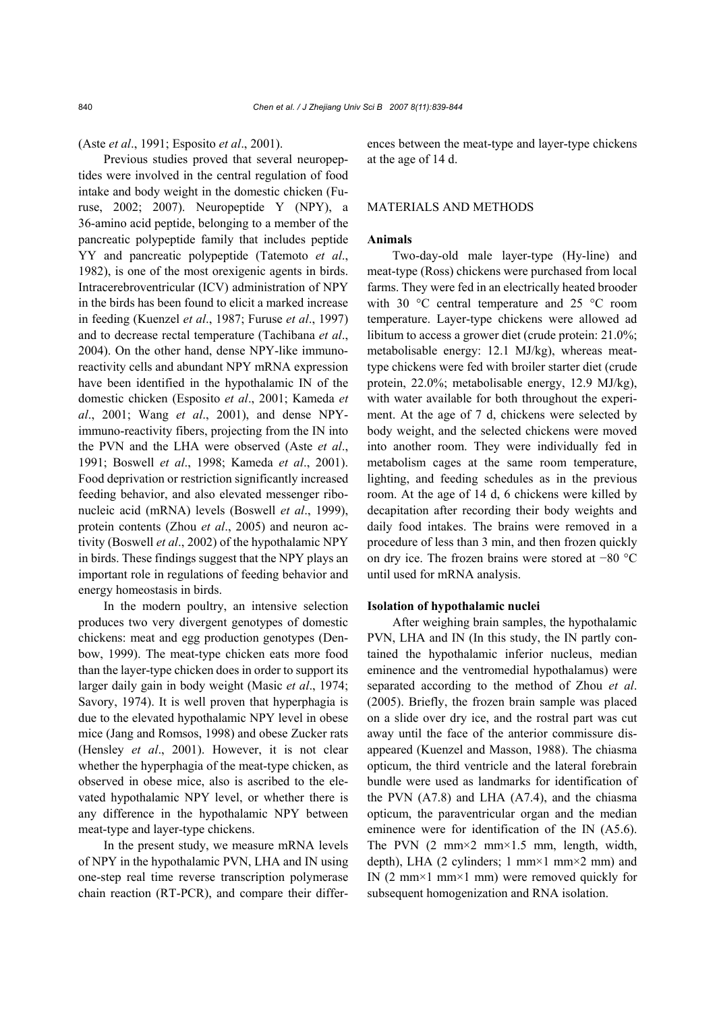### (Aste *et al*., 1991; Esposito *et al*., 2001).

Previous studies proved that several neuropeptides were involved in the central regulation of food intake and body weight in the domestic chicken (Furuse, 2002; 2007). Neuropeptide Y (NPY), a 36-amino acid peptide, belonging to a member of the pancreatic polypeptide family that includes peptide YY and pancreatic polypeptide (Tatemoto *et al*., 1982), is one of the most orexigenic agents in birds. Intracerebroventricular (ICV) administration of NPY in the birds has been found to elicit a marked increase in feeding (Kuenzel *et al*., 1987; Furuse *et al*., 1997) and to decrease rectal temperature (Tachibana *et al*., 2004). On the other hand, dense NPY-like immunoreactivity cells and abundant NPY mRNA expression have been identified in the hypothalamic IN of the domestic chicken (Esposito *et al*., 2001; Kameda *et al*., 2001; Wang *et al*., 2001), and dense NPYimmuno-reactivity fibers, projecting from the IN into the PVN and the LHA were observed (Aste *et al*., 1991; Boswell *et al*., 1998; Kameda *et al*., 2001). Food deprivation or restriction significantly increased feeding behavior, and also elevated messenger ribonucleic acid (mRNA) levels (Boswell *et al*., 1999), protein contents (Zhou *et al*., 2005) and neuron activity (Boswell *et al*., 2002) of the hypothalamic NPY in birds. These findings suggest that the NPY plays an important role in regulations of feeding behavior and energy homeostasis in birds.

In the modern poultry, an intensive selection produces two very divergent genotypes of domestic chickens: meat and egg production genotypes (Denbow, 1999). The meat-type chicken eats more food than the layer-type chicken does in order to support its larger daily gain in body weight (Masic *et al*., 1974; Savory, 1974). It is well proven that hyperphagia is due to the elevated hypothalamic NPY level in obese mice (Jang and Romsos, 1998) and obese Zucker rats (Hensley *et al*., 2001). However, it is not clear whether the hyperphagia of the meat-type chicken, as observed in obese mice, also is ascribed to the elevated hypothalamic NPY level, or whether there is any difference in the hypothalamic NPY between meat-type and layer-type chickens.

In the present study, we measure mRNA levels of NPY in the hypothalamic PVN, LHA and IN using one-step real time reverse transcription polymerase chain reaction (RT-PCR), and compare their differences between the meat-type and layer-type chickens at the age of 14 d.

# MATERIALS AND METHODS

#### **Animals**

Two-day-old male layer-type (Hy-line) and meat-type (Ross) chickens were purchased from local farms. They were fed in an electrically heated brooder with 30 °C central temperature and 25 °C room temperature. Layer-type chickens were allowed ad libitum to access a grower diet (crude protein: 21.0%; metabolisable energy: 12.1 MJ/kg), whereas meattype chickens were fed with broiler starter diet (crude protein, 22.0%; metabolisable energy, 12.9 MJ/kg), with water available for both throughout the experiment. At the age of 7 d, chickens were selected by body weight, and the selected chickens were moved into another room. They were individually fed in metabolism cages at the same room temperature, lighting, and feeding schedules as in the previous room. At the age of 14 d, 6 chickens were killed by decapitation after recording their body weights and daily food intakes. The brains were removed in a procedure of less than 3 min, and then frozen quickly on dry ice. The frozen brains were stored at −80 °C until used for mRNA analysis.

#### **Isolation of hypothalamic nuclei**

After weighing brain samples, the hypothalamic PVN, LHA and IN (In this study, the IN partly contained the hypothalamic inferior nucleus, median eminence and the ventromedial hypothalamus) were separated according to the method of Zhou *et al*. (2005). Briefly, the frozen brain sample was placed on a slide over dry ice, and the rostral part was cut away until the face of the anterior commissure disappeared (Kuenzel and Masson, 1988). The chiasma opticum, the third ventricle and the lateral forebrain bundle were used as landmarks for identification of the PVN (A7.8) and LHA (A7.4), and the chiasma opticum, the paraventricular organ and the median eminence were for identification of the IN (A5.6). The PVN  $(2 \text{ mm} \times 2 \text{ mm} \times 1.5 \text{ mm}$ , length, width, depth), LHA (2 cylinders; 1 mm×1 mm×2 mm) and IN (2 mm×1 mm×1 mm) were removed quickly for subsequent homogenization and RNA isolation.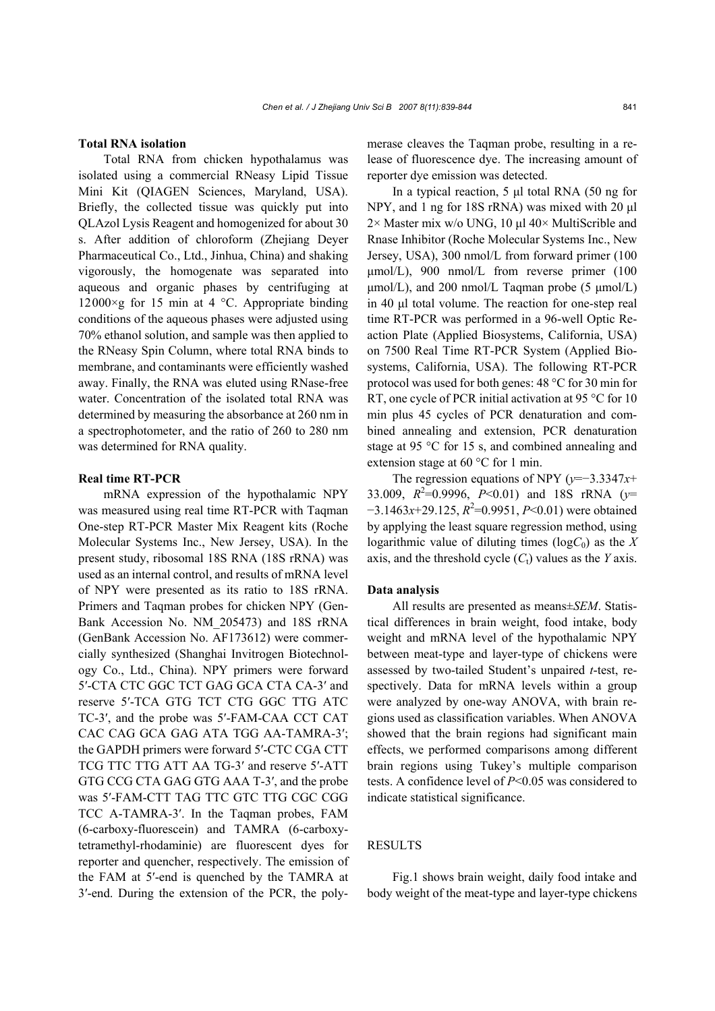# **Total RNA isolation**

Total RNA from chicken hypothalamus was isolated using a commercial RNeasy Lipid Tissue Mini Kit (QIAGEN Sciences, Maryland, USA). Briefly, the collected tissue was quickly put into QLAzol Lysis Reagent and homogenized for about 30 s. After addition of chloroform (Zhejiang Deyer Pharmaceutical Co., Ltd., Jinhua, China) and shaking vigorously, the homogenate was separated into aqueous and organic phases by centrifuging at 12000×g for 15 min at 4  $°C$ . Appropriate binding conditions of the aqueous phases were adjusted using 70% ethanol solution, and sample was then applied to the RNeasy Spin Column, where total RNA binds to membrane, and contaminants were efficiently washed away. Finally, the RNA was eluted using RNase-free water. Concentration of the isolated total RNA was determined by measuring the absorbance at 260 nm in a spectrophotometer, and the ratio of 260 to 280 nm was determined for RNA quality.

# **Real time RT-PCR**

mRNA expression of the hypothalamic NPY was measured using real time RT-PCR with Taqman One-step RT-PCR Master Mix Reagent kits (Roche Molecular Systems Inc., New Jersey, USA). In the present study, ribosomal 18S RNA (18S rRNA) was used as an internal control, and results of mRNA level of NPY were presented as its ratio to 18S rRNA. Primers and Taqman probes for chicken NPY (Gen-Bank Accession No. NM\_205473) and 18S rRNA (GenBank Accession No. AF173612) were commercially synthesized (Shanghai Invitrogen Biotechnology Co., Ltd., China). NPY primers were forward 5′-CTA CTC GGC TCT GAG GCA CTA CA-3′ and reserve 5′-TCA GTG TCT CTG GGC TTG ATC TC-3′, and the probe was 5′-FAM-CAA CCT CAT CAC CAG GCA GAG ATA TGG AA-TAMRA-3′; the GAPDH primers were forward 5′-CTC CGA CTT TCG TTC TTG ATT AA TG-3′ and reserve 5′-ATT GTG CCG CTA GAG GTG AAA T-3′, and the probe was 5′-FAM-CTT TAG TTC GTC TTG CGC CGG TCC A-TAMRA-3′. In the Taqman probes, FAM (6-carboxy-fluorescein) and TAMRA (6-carboxytetramethyl-rhodaminie) are fluorescent dyes for reporter and quencher, respectively. The emission of the FAM at 5′-end is quenched by the TAMRA at 3′-end. During the extension of the PCR, the polymerase cleaves the Taqman probe, resulting in a release of fluorescence dye. The increasing amount of reporter dye emission was detected.

In a typical reaction, 5 µl total RNA (50 ng for NPY, and 1 ng for 18S rRNA) was mixed with 20 µl  $2\times$  Master mix w/o UNG, 10 µl 40× MultiScrible and Rnase Inhibitor (Roche Molecular Systems Inc., New Jersey, USA), 300 nmol/L from forward primer (100 µmol/L), 900 nmol/L from reverse primer (100  $\mu$ mol/L), and 200 nmol/L Taqman probe (5  $\mu$ mol/L) in 40 µl total volume. The reaction for one-step real time RT-PCR was performed in a 96-well Optic Reaction Plate (Applied Biosystems, California, USA) on 7500 Real Time RT-PCR System (Applied Biosystems, California, USA). The following RT-PCR protocol was used for both genes: 48 °C for 30 min for RT, one cycle of PCR initial activation at 95 °C for 10 min plus 45 cycles of PCR denaturation and combined annealing and extension, PCR denaturation stage at 95 °C for 15 s, and combined annealing and extension stage at 60 °C for 1 min.

The regression equations of NPY (*y*=−3.3347*x*+ 33.009,  $R^2$ =0.9996,  $P$ <0.01) and 18S rRNA ( $y$ = −3.1463*x*+29.125,  $R^2$ =0.9951, *P*<0.01) were obtained by applying the least square regression method, using logarithmic value of diluting times  $(\log C_0)$  as the X axis, and the threshold cycle  $(C_t)$  values as the *Y* axis.

#### **Data analysis**

All results are presented as means±*SEM*. Statistical differences in brain weight, food intake, body weight and mRNA level of the hypothalamic NPY between meat-type and layer-type of chickens were assessed by two-tailed Student's unpaired *t*-test, respectively. Data for mRNA levels within a group were analyzed by one-way ANOVA, with brain regions used as classification variables. When ANOVA showed that the brain regions had significant main effects, we performed comparisons among different brain regions using Tukey's multiple comparison tests. A confidence level of *P*<0.05 was considered to indicate statistical significance.

## RESULTS

Fig.1 shows brain weight, daily food intake and body weight of the meat-type and layer-type chickens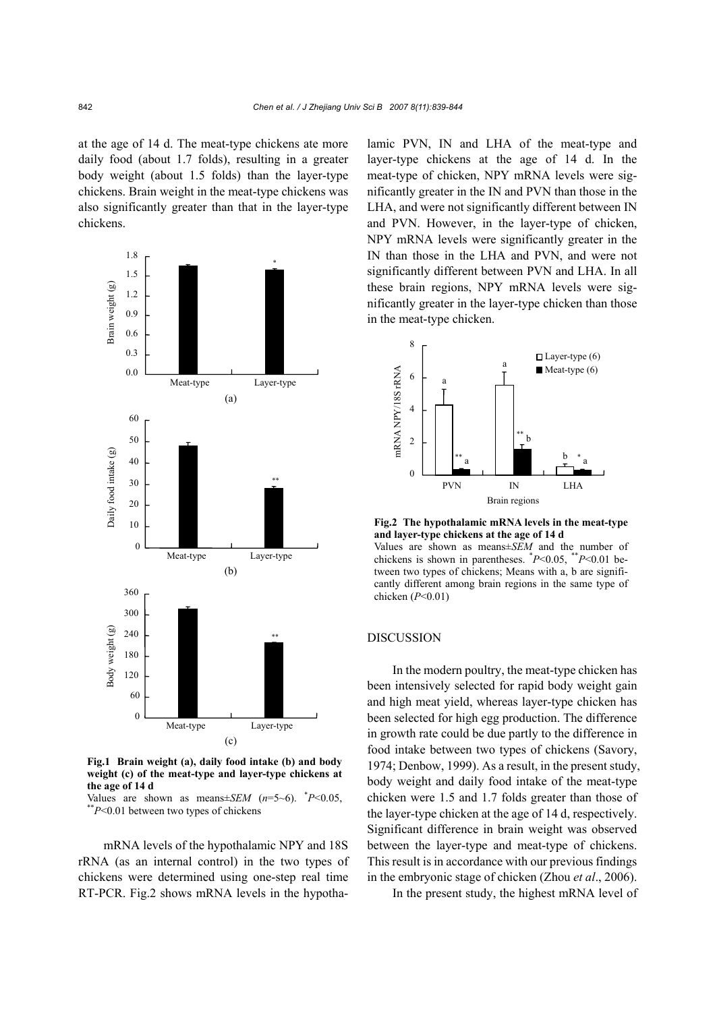at the age of 14 d. The meat-type chickens ate more daily food (about 1.7 folds), resulting in a greater body weight (about 1.5 folds) than the layer-type chickens. Brain weight in the meat-type chickens was also significantly greater than that in the layer-type chickens.



**Fig.1 Brain weight (a), daily food intake (b) and body weight (c) of the meat-type and layer-type chickens at the age of 14 d** 

Values are shown as means $\pm$ *SEM* ( $n=5$ ~6). \* $P$ <0.05, \*\* $P$ <0.01 between two types of chickens

mRNA levels of the hypothalamic NPY and 18S rRNA (as an internal control) in the two types of chickens were determined using one-step real time RT-PCR. Fig.2 shows mRNA levels in the hypothalamic PVN, IN and LHA of the meat-type and layer-type chickens at the age of 14 d. In the meat-type of chicken, NPY mRNA levels were significantly greater in the IN and PVN than those in the LHA, and were not significantly different between IN and PVN. However, in the layer-type of chicken, NPY mRNA levels were significantly greater in the IN than those in the LHA and PVN, and were not significantly different between PVN and LHA. In all these brain regions, NPY mRNA levels were significantly greater in the layer-type chicken than those in the meat-type chicken.



**Fig.2 The hypothalamic mRNA levels in the meat-type and layer-type chickens at the age of 14 d**  Values are shown as means±*SEM* and the number of

chickens is shown in parentheses. \* *P*<0.05, \*\**P*<0.01 between two types of chickens; Means with a, b are significantly different among brain regions in the same type of chicken (*P*<0.01)

# DISCUSSION

In the modern poultry, the meat-type chicken has been intensively selected for rapid body weight gain and high meat yield, whereas layer-type chicken has been selected for high egg production. The difference in growth rate could be due partly to the difference in food intake between two types of chickens (Savory, 1974; Denbow, 1999). As a result, in the present study, body weight and daily food intake of the meat-type chicken were 1.5 and 1.7 folds greater than those of the layer-type chicken at the age of 14 d, respectively. Significant difference in brain weight was observed between the layer-type and meat-type of chickens. This result is in accordance with our previous findings in the embryonic stage of chicken (Zhou *et al*., 2006).

In the present study, the highest mRNA level of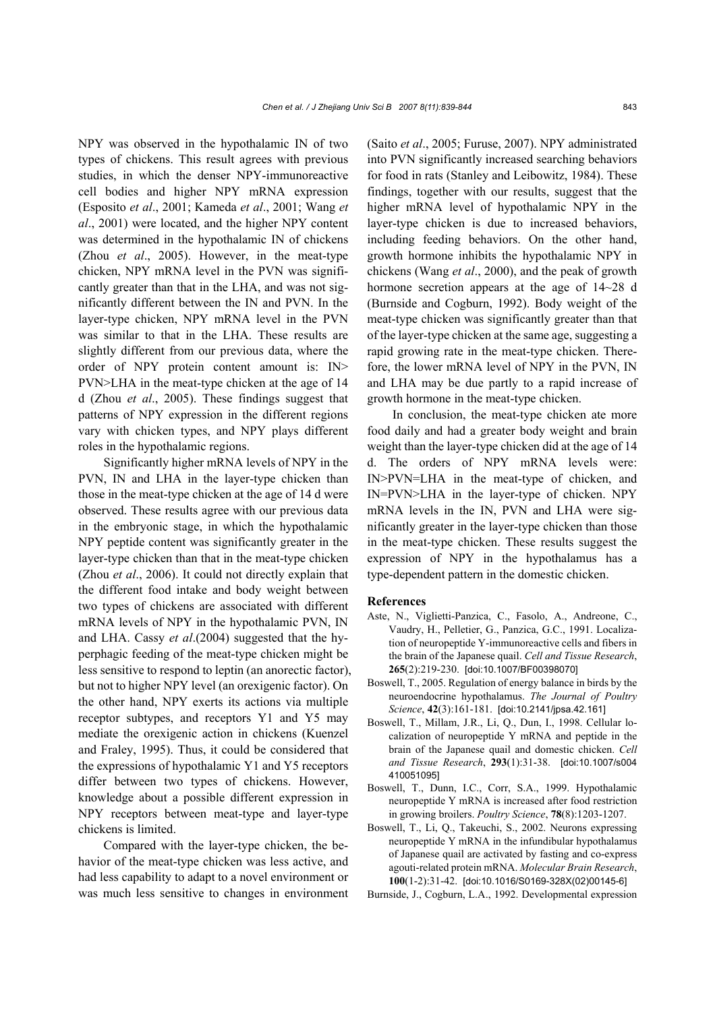NPY was observed in the hypothalamic IN of two types of chickens. This result agrees with previous studies, in which the denser NPY-immunoreactive cell bodies and higher NPY mRNA expression (Esposito *et al*., 2001; Kameda *et al*., 2001; Wang *et al*., 2001) were located, and the higher NPY content was determined in the hypothalamic IN of chickens (Zhou *et al*., 2005). However, in the meat-type chicken, NPY mRNA level in the PVN was significantly greater than that in the LHA, and was not significantly different between the IN and PVN. In the layer-type chicken, NPY mRNA level in the PVN was similar to that in the LHA. These results are slightly different from our previous data, where the order of NPY protein content amount is: IN> PVN>LHA in the meat-type chicken at the age of 14 d (Zhou *et al*., 2005). These findings suggest that patterns of NPY expression in the different regions vary with chicken types, and NPY plays different roles in the hypothalamic regions.

Significantly higher mRNA levels of NPY in the PVN, IN and LHA in the layer-type chicken than those in the meat-type chicken at the age of 14 d were observed. These results agree with our previous data in the embryonic stage, in which the hypothalamic NPY peptide content was significantly greater in the layer-type chicken than that in the meat-type chicken (Zhou *et al*., 2006). It could not directly explain that the different food intake and body weight between two types of chickens are associated with different mRNA levels of NPY in the hypothalamic PVN, IN and LHA. Cassy *et al*.(2004) suggested that the hyperphagic feeding of the meat-type chicken might be less sensitive to respond to leptin (an anorectic factor), but not to higher NPY level (an orexigenic factor). On the other hand, NPY exerts its actions via multiple receptor subtypes, and receptors Y1 and Y5 may mediate the orexigenic action in chickens (Kuenzel and Fraley, 1995). Thus, it could be considered that the expressions of hypothalamic Y1 and Y5 receptors differ between two types of chickens. However, knowledge about a possible different expression in NPY receptors between meat-type and layer-type chickens is limited.

Compared with the layer-type chicken, the behavior of the meat-type chicken was less active, and had less capability to adapt to a novel environment or was much less sensitive to changes in environment (Saito *et al*., 2005; Furuse, 2007). NPY administrated into PVN significantly increased searching behaviors for food in rats (Stanley and Leibowitz, 1984). These findings, together with our results, suggest that the higher mRNA level of hypothalamic NPY in the layer-type chicken is due to increased behaviors, including feeding behaviors. On the other hand, growth hormone inhibits the hypothalamic NPY in chickens (Wang *et al*., 2000), and the peak of growth hormone secretion appears at the age of  $14~28$  d (Burnside and Cogburn, 1992). Body weight of the meat-type chicken was significantly greater than that of the layer-type chicken at the same age, suggesting a rapid growing rate in the meat-type chicken. Therefore, the lower mRNA level of NPY in the PVN, IN and LHA may be due partly to a rapid increase of growth hormone in the meat-type chicken.

In conclusion, the meat-type chicken ate more food daily and had a greater body weight and brain weight than the layer-type chicken did at the age of 14 d. The orders of NPY mRNA levels were: IN>PVN=LHA in the meat-type of chicken, and IN=PVN>LHA in the layer-type of chicken. NPY mRNA levels in the IN, PVN and LHA were significantly greater in the layer-type chicken than those in the meat-type chicken. These results suggest the expression of NPY in the hypothalamus has a type-dependent pattern in the domestic chicken.

#### **References**

- Aste, N., Viglietti-Panzica, C., Fasolo, A., Andreone, C., Vaudry, H., Pelletier, G., Panzica, G.C., 1991. Localization of neuropeptide Y-immunoreactive cells and fibers in the brain of the Japanese quail. *Cell and Tissue Research*, **265**(2):219-230. [doi:10.1007/BF00398070]
- Boswell, T., 2005. Regulation of energy balance in birds by the neuroendocrine hypothalamus. *The Journal of Poultry Science*, **42**(3):161-181. [doi:10.2141/jpsa.42.161]
- Boswell, T., Millam, J.R., Li, Q., Dun, I., 1998. Cellular localization of neuropeptide Y mRNA and peptide in the brain of the Japanese quail and domestic chicken. *Cell and Tissue Research*, **293**(1):31-38. [doi:10.1007/s004 410051095]
- Boswell, T., Dunn, I.C., Corr, S.A., 1999. Hypothalamic neuropeptide Y mRNA is increased after food restriction in growing broilers. *Poultry Science*, **78**(8):1203-1207.
- Boswell, T., Li, Q., Takeuchi, S., 2002. Neurons expressing neuropeptide Y mRNA in the infundibular hypothalamus of Japanese quail are activated by fasting and co-express agouti-related protein mRNA. *Molecular Brain Research*, **100**(1-2):31-42. [doi:10.1016/S0169-328X(02)00145-6]
- Burnside, J., Cogburn, L.A., 1992. Developmental expression